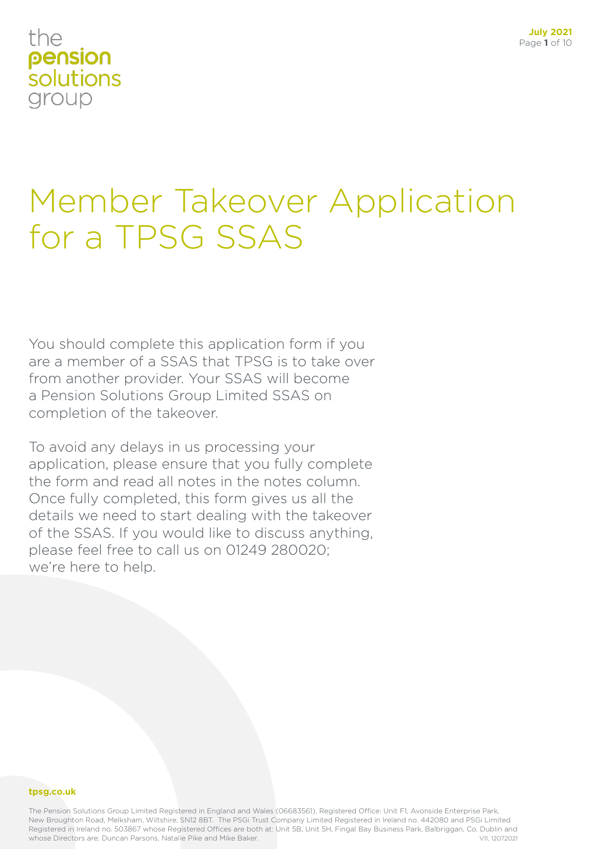### the pension solutions group

## Member Takeover Application for a TPSG SSAS

You should complete this application form if you are a member of a SSAS that TPSG is to take over from another provider. Your SSAS will become a Pension Solutions Group Limited SSAS on completion of the takeover.

To avoid any delays in us processing your application, please ensure that you fully complete the form and read all notes in the notes column. Once fully completed, this form gives us all the details we need to start dealing with the takeover of the SSAS. If you would like to discuss anything, please feel free to call us on 01249 280020; we're here to help.

### **tpsg.co.uk**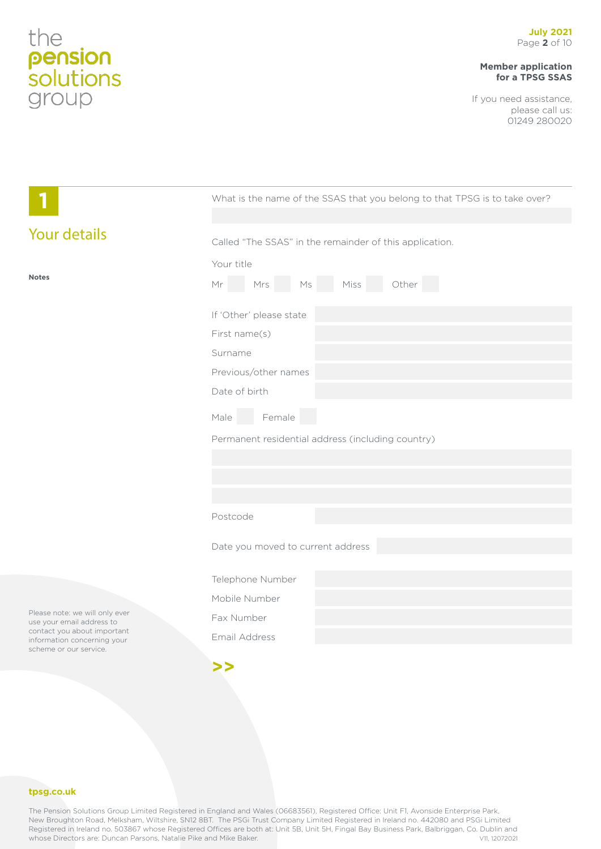### **Member application for a TPSG SSAS**

If you need assistance, please call us: 01249 280020

|                                                                                                                                                     | What is the name of the SSAS that you belong to that TPSG is to take over? |  |  |
|-----------------------------------------------------------------------------------------------------------------------------------------------------|----------------------------------------------------------------------------|--|--|
|                                                                                                                                                     |                                                                            |  |  |
| <b>Your details</b>                                                                                                                                 | Called "The SSAS" in the remainder of this application.                    |  |  |
|                                                                                                                                                     | Your title                                                                 |  |  |
| <b>Notes</b>                                                                                                                                        | Mr Mrs Ms Miss Other                                                       |  |  |
|                                                                                                                                                     | If 'Other' please state                                                    |  |  |
|                                                                                                                                                     | First name(s)                                                              |  |  |
|                                                                                                                                                     | Surname                                                                    |  |  |
|                                                                                                                                                     | Previous/other names                                                       |  |  |
|                                                                                                                                                     | Date of birth                                                              |  |  |
|                                                                                                                                                     | Male Female                                                                |  |  |
|                                                                                                                                                     | Permanent residential address (including country)                          |  |  |
|                                                                                                                                                     |                                                                            |  |  |
|                                                                                                                                                     |                                                                            |  |  |
|                                                                                                                                                     |                                                                            |  |  |
|                                                                                                                                                     | Postcode                                                                   |  |  |
|                                                                                                                                                     | Date you moved to current address                                          |  |  |
|                                                                                                                                                     | Telephone Number                                                           |  |  |
|                                                                                                                                                     | Mobile Number                                                              |  |  |
| Please note: we will only ever<br>use your email address to<br>contact you about important<br>information concerning your<br>scheme or our service. | Fax Number                                                                 |  |  |
|                                                                                                                                                     | Email Address                                                              |  |  |
|                                                                                                                                                     | >>                                                                         |  |  |

### **tpsg.co.uk**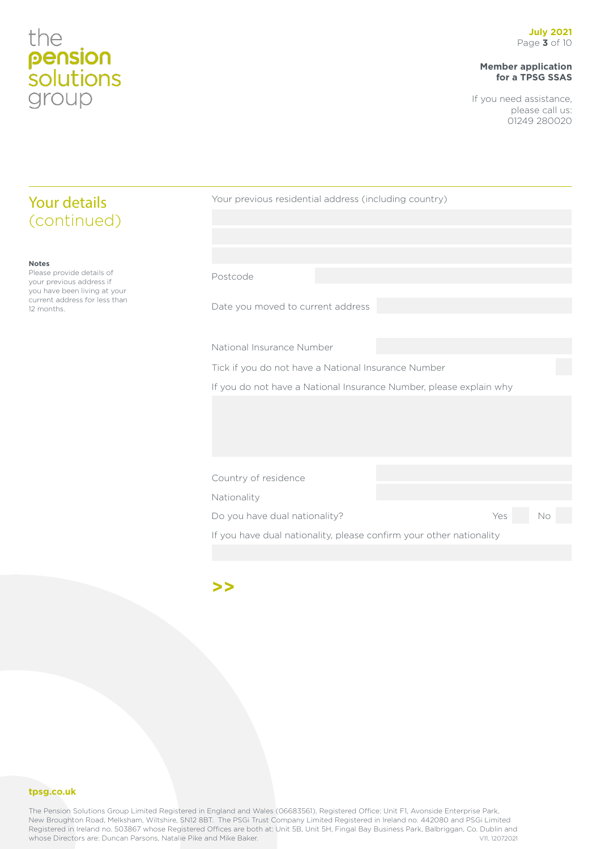**Notes**

12 months.

Please provide details of your previous address if you have been living at your current address for less than

Your details (continued)

### **Member application for a TPSG SSAS**

If you need assistance, please call us: 01249 280020

| Your previous residential address (including country)               |  |     |    |
|---------------------------------------------------------------------|--|-----|----|
|                                                                     |  |     |    |
|                                                                     |  |     |    |
|                                                                     |  |     |    |
| Postcode                                                            |  |     |    |
| Date you moved to current address                                   |  |     |    |
| National Insurance Number                                           |  |     |    |
| Tick if you do not have a National Insurance Number                 |  |     |    |
| If you do not have a National Insurance Number, please explain why  |  |     |    |
|                                                                     |  |     |    |
|                                                                     |  |     |    |
|                                                                     |  |     |    |
| Country of residence                                                |  |     |    |
| Nationality                                                         |  |     |    |
| Do you have dual nationality?                                       |  | Yes | No |
| If you have dual nationality, please confirm your other nationality |  |     |    |
|                                                                     |  |     |    |

**>>**

### **tpsg.co.uk**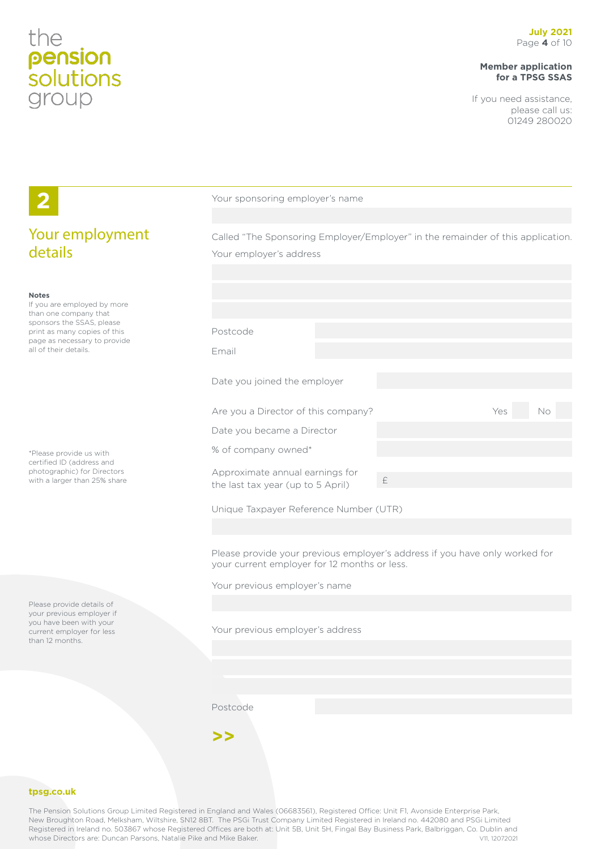### **Member application for a TPSG SSAS**

If you need assistance, please call us: 01249 280020

|                                                                                                                                                                                            | Your sponsoring employer's name                                                                                                                                                                                                                            |                                                                                               |  |
|--------------------------------------------------------------------------------------------------------------------------------------------------------------------------------------------|------------------------------------------------------------------------------------------------------------------------------------------------------------------------------------------------------------------------------------------------------------|-----------------------------------------------------------------------------------------------|--|
| Your employment<br>details                                                                                                                                                                 | Called "The Sponsoring Employer/Employer" in the remainder of this application.<br>Your employer's address                                                                                                                                                 |                                                                                               |  |
| <b>Notes</b><br>If you are employed by more<br>than one company that<br>sponsors the SSAS, please<br>print as many copies of this<br>page as necessary to provide<br>all of their details. | Postcode<br>Email                                                                                                                                                                                                                                          |                                                                                               |  |
|                                                                                                                                                                                            | Date you joined the employer                                                                                                                                                                                                                               |                                                                                               |  |
| *Please provide us with<br>certified ID (address and<br>photographic) for Directors<br>with a larger than 25% share                                                                        | Are you a Director of this company?<br>Date you became a Director<br>% of company owned*<br>Approximate annual earnings for<br>the last tax year (up to 5 April)<br>Unique Taxpayer Reference Number (UTR)<br>your current employer for 12 months or less. | Yes<br>No<br>£<br>Please provide your previous employer's address if you have only worked for |  |
| Please provide details of<br>your previous employer if<br>you have been with your<br>current employer for less<br>than 12 months.                                                          | Your previous employer's name<br>Your previous employer's address                                                                                                                                                                                          |                                                                                               |  |
|                                                                                                                                                                                            | Postcode<br>>                                                                                                                                                                                                                                              |                                                                                               |  |

### **tpsg.co.uk**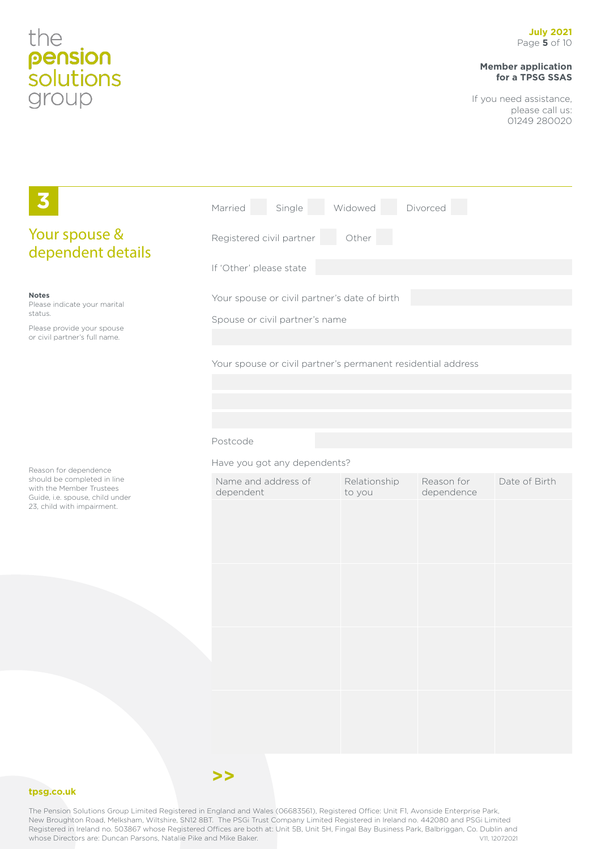### **Member application for a TPSG SSAS**

If you need assistance, please call us: 01249 280020

|                                                                                                                          | Single Widowed<br>Married                                    |                        | Divorced                 |               |
|--------------------------------------------------------------------------------------------------------------------------|--------------------------------------------------------------|------------------------|--------------------------|---------------|
| Your spouse &<br>dependent details                                                                                       | Other<br>Registered civil partner                            |                        |                          |               |
|                                                                                                                          | If 'Other' please state                                      |                        |                          |               |
| <b>Notes</b><br>Please indicate your marital<br>status.                                                                  | Your spouse or civil partner's date of birth                 |                        |                          |               |
| Please provide your spouse<br>or civil partner's full name.                                                              | Spouse or civil partner's name                               |                        |                          |               |
|                                                                                                                          | Your spouse or civil partner's permanent residential address |                        |                          |               |
|                                                                                                                          | Postcode                                                     |                        |                          |               |
| Reason for dependence                                                                                                    | Have you got any dependents?                                 |                        |                          |               |
| should be completed in line<br>with the Member Trustees<br>Guide, i.e. spouse, child under<br>23, child with impairment. | Name and address of<br>dependent                             | Relationship<br>to you | Reason for<br>dependence | Date of Birth |
|                                                                                                                          |                                                              |                        |                          |               |
|                                                                                                                          |                                                              |                        |                          |               |
|                                                                                                                          |                                                              |                        |                          |               |
|                                                                                                                          |                                                              |                        |                          |               |

### **tpsg.co.uk**



**>>**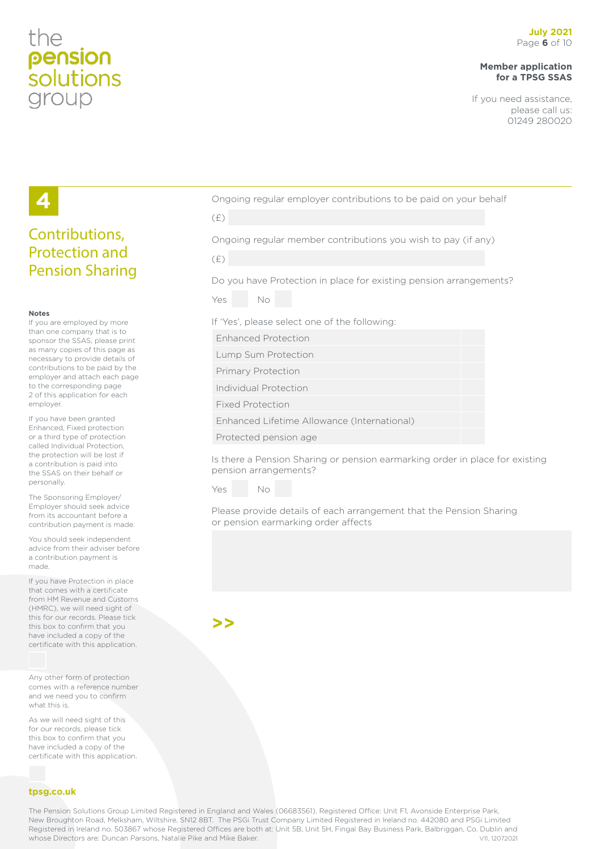## the pension *solutions* group

### **Member application for a TPSG SSAS**

If you need assistance, please call us: 01249 280020

## **4**

### Contributions, Protection and Pension Sharing

#### **Notes**

If you are employed by more than one company that is to sponsor the SSAS, please print as many copies of this page as necessary to provide details of contributions to be paid by the employer and attach each page to the corresponding page 2 of this application for each employer.

If you have been granted Enhanced, Fixed protection or a third type of protection called Individual Protection, the protection will be lost if a contribution is paid into the SSAS on their behalf or personally.

The Sponsoring Employer/ Employer should seek advice from its accountant before a contribution payment is made.

You should seek independent advice from their adviser before a contribution payment is made.

If you have Protection in place that comes with a certificate from HM Revenue and Customs (HMRC), we will need sight of this for our records. Please tick this box to confirm that you have included a copy of the certificate with this application.

Any other form of protection comes with a reference number and we need you to confirm what this is.

As we will need sight of this for our records, please tick this box to confirm that you have included a copy of the certificate with this application.

### **tpsg.co.uk**

Ongoing regular employer contributions to be paid on your behalf

(£)

Ongoing regular member contributions you wish to pay (if any)

| I | ۰   |  |
|---|-----|--|
|   | . . |  |
|   |     |  |

Do you have Protection in place for existing pension arrangements?



If 'Yes', please select one of the following:

Enhanced Protection

Lump Sum Protection

Primary Protection

Individual Protection

Fixed Protection

Enhanced Lifetime Allowance (International)

Protected pension age

Is there a Pension Sharing or pension earmarking order in place for existing pension arrangements?

Yes No

Please provide details of each arrangement that the Pension Sharing or pension earmarking order affects

**>>**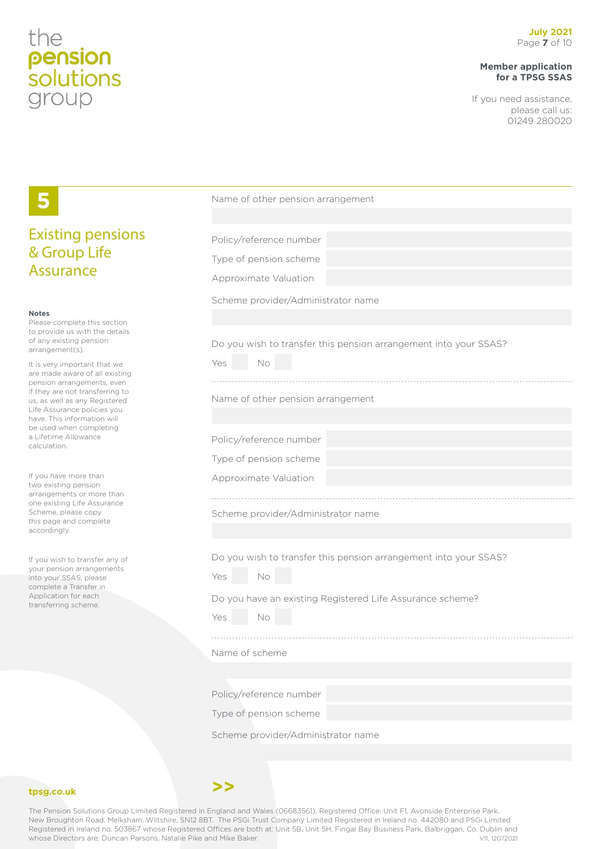### **Member application for a TPSG SSAS**

If you need assistance, please call us: 01249 280020

|                                                                                                  | Name of other pension arrangement                                |
|--------------------------------------------------------------------------------------------------|------------------------------------------------------------------|
| <b>Existing pensions</b>                                                                         | Policy/reference number                                          |
| & Group Life                                                                                     | Type of pension scheme                                           |
| <b>Assurance</b>                                                                                 | Approximate Valuation                                            |
|                                                                                                  | Scheme provider/Administrator name                               |
| <b>Notes</b><br>Please complete this section                                                     |                                                                  |
| to provide us with the details<br>of any existing pension<br>arrangement(s).                     | Do you wish to transfer this pension arrangement into your SSAS? |
| It is very important that we<br>are made aware of all existing                                   | Yes<br>No                                                        |
| pension arrangements, even<br>if they are not transferring to                                    |                                                                  |
| us, as well as any Registered<br>Life Assurance policies you                                     | Name of other pension arrangement                                |
| have. This information will<br>be used when completing                                           |                                                                  |
| a Lifetime Allowance<br>calculation.                                                             | Policy/reference number                                          |
| If you have more than<br>two existing pension                                                    | Type of pension scheme                                           |
|                                                                                                  | Approximate Valuation                                            |
| arrangements or more than<br>one existing Life Assurance<br>Scheme, please copy                  | Scheme provider/Administrator name                               |
| this page and complete<br>accordingly.                                                           |                                                                  |
|                                                                                                  | Do you wish to transfer this pension arrangement into your SSAS? |
| If you wish to transfer any of<br>your pension arrangements                                      | No<br>Yes                                                        |
| into your SSAS, please<br>complete a Transfer in<br>Application for each<br>transferring scheme. |                                                                  |
|                                                                                                  | Do you have an existing Registered Life Assurance scheme?        |
|                                                                                                  | Yes<br>No                                                        |
|                                                                                                  | Name of scheme                                                   |
|                                                                                                  |                                                                  |
|                                                                                                  | Policy/reference number                                          |
|                                                                                                  | Type of pension scheme                                           |
|                                                                                                  | Scheme provider/Administrator name                               |
|                                                                                                  |                                                                  |

### **tpsg.co.uk**

The Pension Solutions Group Limited Registered in England and Wales (06683561), Registered Office: Unit F1, Avonside Enterprise Park, New Broughton Road, Melksham, Wiltshire, SN12 8BT. The PSGi Trust Company Limited Registered in Ireland no. 442080 and PSGi Limited Registered in Ireland no. 503867 whose Registered Offices are both at: Unit 5B, Unit 5H, Fingal Bay Business Park, Balbriggan, Co. Dublin and<br>whose Directors are: Duncan Parsons, Natalie Pike and Mike Baker. whose Directors are: Duncan Parsons, Natalie Pike and Mike Baker.

**>>**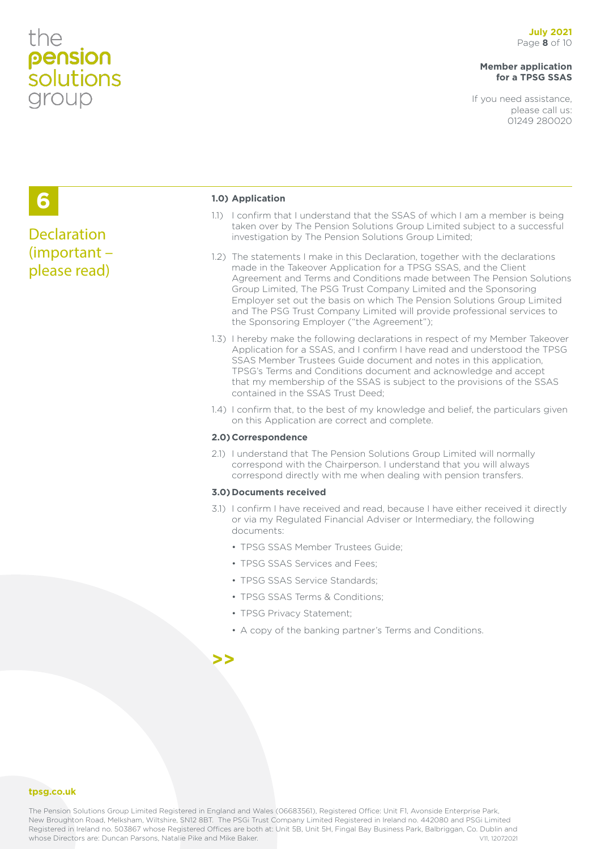## the pension<br>solutions group

### **Member application for a TPSG SSAS**

If you need assistance, please call us: 01249 280020

## **6**

### **Declaration** (important – please read)

### **1.0) Application**

- 1.1) I confirm that I understand that the SSAS of which I am a member is being taken over by The Pension Solutions Group Limited subject to a successful investigation by The Pension Solutions Group Limited;
- 1.2) The statements I make in this Declaration, together with the declarations made in the Takeover Application for a TPSG SSAS, and the Client Agreement and Terms and Conditions made between The Pension Solutions Group Limited, The PSG Trust Company Limited and the Sponsoring Employer set out the basis on which The Pension Solutions Group Limited and The PSG Trust Company Limited will provide professional services to the Sponsoring Employer ("the Agreement");
- 1.3) I hereby make the following declarations in respect of my Member Takeover Application for a SSAS, and I confirm I have read and understood the TPSG SSAS Member Trustees Guide document and notes in this application, TPSG's Terms and Conditions document and acknowledge and accept that my membership of the SSAS is subject to the provisions of the SSAS contained in the SSAS Trust Deed;
- 1.4) I confirm that, to the best of my knowledge and belief, the particulars given on this Application are correct and complete.

### **2.0)Correspondence**

2.1) I understand that The Pension Solutions Group Limited will normally correspond with the Chairperson. I understand that you will always correspond directly with me when dealing with pension transfers.

#### **3.0)Documents received**

- 3.1) I confirm I have received and read, because I have either received it directly or via my Regulated Financial Adviser or Intermediary, the following documents:
	- TPSG SSAS Member Trustees Guide;
	- TPSG SSAS Services and Fees;
	- TPSG SSAS Service Standards;
	- TPSG SSAS Terms & Conditions;
	- TPSG Privacy Statement;
	- A copy of the banking partner's Terms and Conditions.

### **>>**

### **tpsg.co.uk**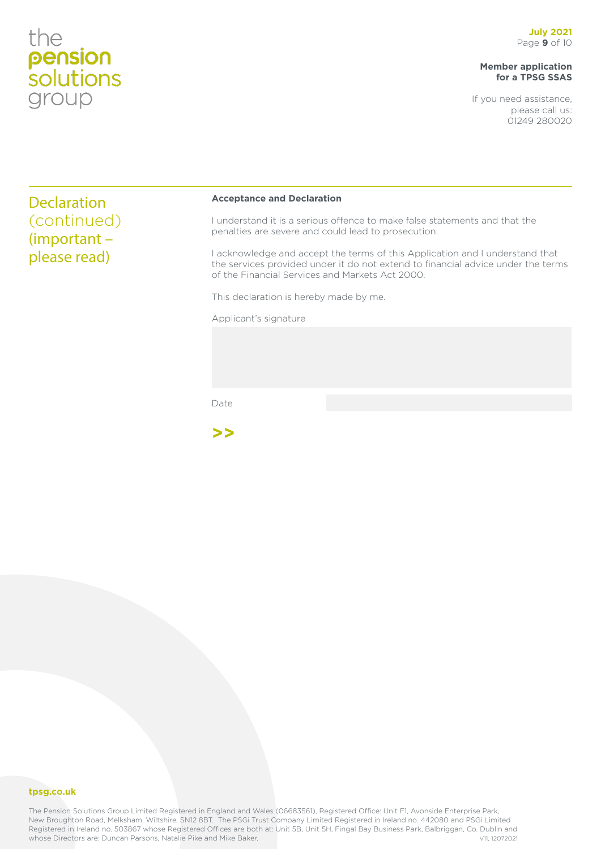## the pension<br>solutions group

### **Member application for a TPSG SSAS**

If you need assistance, please call us: 01249 280020

**Declaration** (continued) (important – please read)

#### **Acceptance and Declaration**

I understand it is a serious offence to make false statements and that the penalties are severe and could lead to prosecution.

I acknowledge and accept the terms of this Application and I understand that the services provided under it do not extend to financial advice under the terms of the Financial Services and Markets Act 2000.

This declaration is hereby made by me.

Applicant's signature

Date

**>>**

### **tpsg.co.uk**